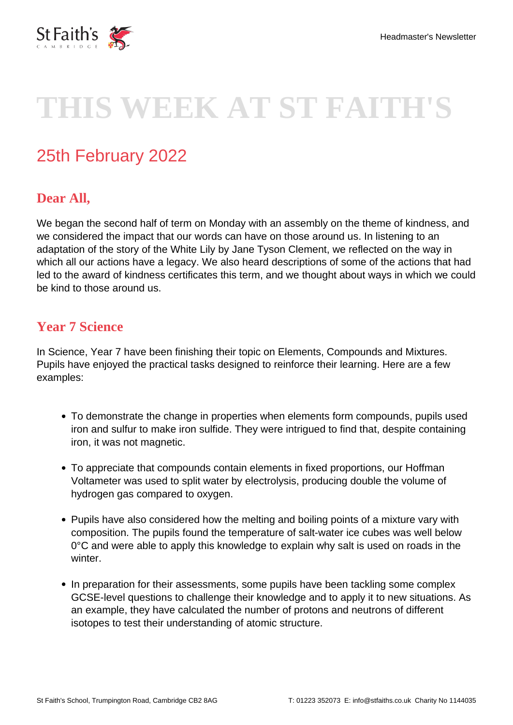

# **THIS WEEK AT ST FAITH'S**

## 25th February 2022

### **Dear All,**

We began the second half of term on Monday with an assembly on the theme of kindness, and we considered the impact that our words can have on those around us. In listening to an adaptation of the story of the White Lily by Jane Tyson Clement, we reflected on the way in which all our actions have a legacy. We also heard descriptions of some of the actions that had led to the award of kindness certificates this term, and we thought about ways in which we could be kind to those around us.

#### **Year 7 Science**

In Science, Year 7 have been finishing their topic on Elements, Compounds and Mixtures. Pupils have enjoyed the practical tasks designed to reinforce their learning. Here are a few examples:

- To demonstrate the change in properties when elements form compounds, pupils used iron and sulfur to make iron sulfide. They were intrigued to find that, despite containing iron, it was not magnetic.
- To appreciate that compounds contain elements in fixed proportions, our Hoffman Voltameter was used to split water by electrolysis, producing double the volume of hydrogen gas compared to oxygen.
- Pupils have also considered how the melting and boiling points of a mixture vary with composition. The pupils found the temperature of salt-water ice cubes was well below 0°C and were able to apply this knowledge to explain why salt is used on roads in the winter.
- In preparation for their assessments, some pupils have been tackling some complex GCSE-level questions to challenge their knowledge and to apply it to new situations. As an example, they have calculated the number of protons and neutrons of different isotopes to test their understanding of atomic structure.